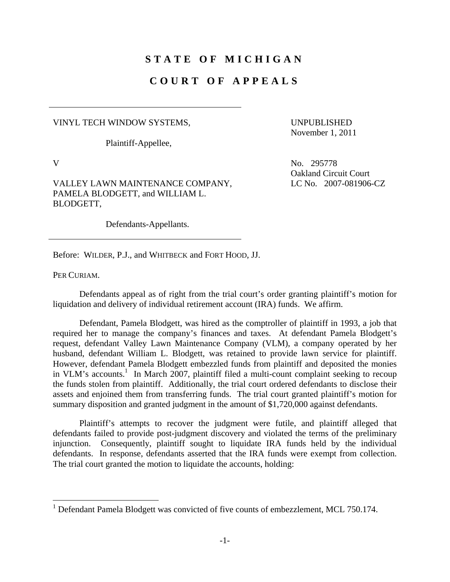## **STATE OF MICHIGAN**

## **COURT OF APPEALS**

VINYL TECH WINDOW SYSTEMS,

Plaintiff-Appellee,

UNPUBLISHED November 1, 2011

Oakland Circuit Court

LC No. 2007-081906-CZ

V No. 295778

VALLEY LAWN MAINTENANCE COMPANY, PAMELA BLODGETT, and WILLIAM L. BLODGETT,

Defendants-Appellants.

Before: WILDER, P.J., and WHITBECK and FORT HOOD, JJ.

PER CURIAM.

 $\overline{a}$ 

 Defendants appeal as of right from the trial court's order granting plaintiff's motion for liquidation and delivery of individual retirement account (IRA) funds. We affirm.

 Defendant, Pamela Blodgett, was hired as the comptroller of plaintiff in 1993, a job that required her to manage the company's finances and taxes. At defendant Pamela Blodgett's request, defendant Valley Lawn Maintenance Company (VLM), a company operated by her husband, defendant William L. Blodgett, was retained to provide lawn service for plaintiff. However, defendant Pamela Blodgett embezzled funds from plaintiff and deposited the monies in VLM's accounts.<sup>1</sup> In March 2007, plaintiff filed a multi-count complaint seeking to recoup the funds stolen from plaintiff. Additionally, the trial court ordered defendants to disclose their assets and enjoined them from transferring funds. The trial court granted plaintiff's motion for summary disposition and granted judgment in the amount of \$1,720,000 against defendants.

 Plaintiff's attempts to recover the judgment were futile, and plaintiff alleged that defendants failed to provide post-judgment discovery and violated the terms of the preliminary injunction. Consequently, plaintiff sought to liquidate IRA funds held by the individual defendants. In response, defendants asserted that the IRA funds were exempt from collection. The trial court granted the motion to liquidate the accounts, holding:

<sup>&</sup>lt;sup>1</sup> Defendant Pamela Blodgett was convicted of five counts of embezzlement, MCL 750.174.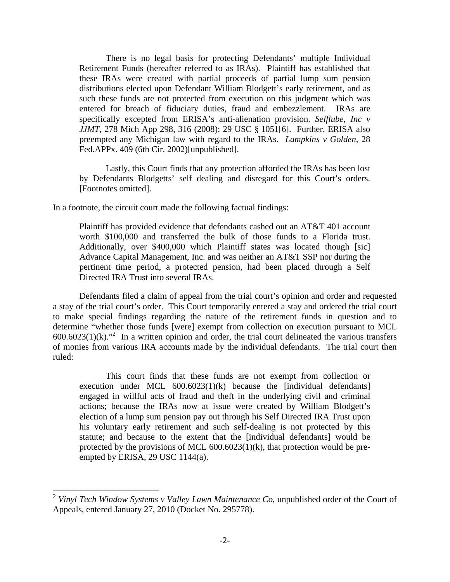There is no legal basis for protecting Defendants' multiple Individual Retirement Funds (hereafter referred to as IRAs). Plaintiff has established that these IRAs were created with partial proceeds of partial lump sum pension distributions elected upon Defendant William Blodgett's early retirement, and as such these funds are not protected from execution on this judgment which was entered for breach of fiduciary duties, fraud and embezzlement. IRAs are specifically excepted from ERISA's anti-alienation provision. *Selflube, Inc v JJMT*, 278 Mich App 298, 316 (2008); 29 USC § 1051[6]. Further, ERISA also preempted any Michigan law with regard to the IRAs. *Lampkins v Golden*, 28 Fed.APPx. 409 (6th Cir. 2002)[unpublished].

 Lastly, this Court finds that any protection afforded the IRAs has been lost by Defendants Blodgetts' self dealing and disregard for this Court's orders. [Footnotes omitted].

In a footnote, the circuit court made the following factual findings:

 $\overline{a}$ 

Plaintiff has provided evidence that defendants cashed out an AT&T 401 account worth \$100,000 and transferred the bulk of those funds to a Florida trust. Additionally, over \$400,000 which Plaintiff states was located though [sic] Advance Capital Management, Inc. and was neither an AT&T SSP nor during the pertinent time period, a protected pension, had been placed through a Self Directed IRA Trust into several IRAs.

 Defendants filed a claim of appeal from the trial court's opinion and order and requested a stay of the trial court's order. This Court temporarily entered a stay and ordered the trial court to make special findings regarding the nature of the retirement funds in question and to determine "whether those funds [were] exempt from collection on execution pursuant to MCL  $600.6023(1)(k)$ ."<sup>2</sup> In a written opinion and order, the trial court delineated the various transfers of monies from various IRA accounts made by the individual defendants. The trial court then ruled:

 This court finds that these funds are not exempt from collection or execution under MCL 600.6023(1)(k) because the [individual defendants] engaged in willful acts of fraud and theft in the underlying civil and criminal actions; because the IRAs now at issue were created by William Blodgett's election of a lump sum pension pay out through his Self Directed IRA Trust upon his voluntary early retirement and such self-dealing is not protected by this statute; and because to the extent that the [individual defendants] would be protected by the provisions of MCL  $600.6023(1)(k)$ , that protection would be preempted by ERISA, 29 USC 1144(a).

<sup>2</sup> *Vinyl Tech Window Systems v Valley Lawn Maintenance Co*, unpublished order of the Court of Appeals, entered January 27, 2010 (Docket No. 295778).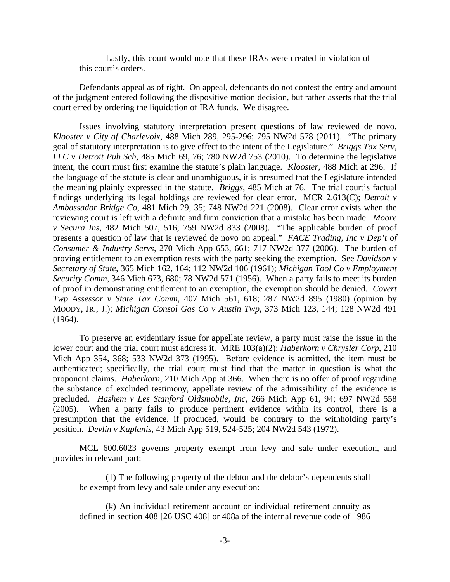Lastly, this court would note that these IRAs were created in violation of this court's orders.

 Defendants appeal as of right. On appeal, defendants do not contest the entry and amount of the judgment entered following the dispositive motion decision, but rather asserts that the trial court erred by ordering the liquidation of IRA funds. We disagree.

 Issues involving statutory interpretation present questions of law reviewed de novo. *Klooster v City of Charlevoix*, 488 Mich 289, 295-296; 795 NW2d 578 (2011). "The primary goal of statutory interpretation is to give effect to the intent of the Legislature." *Briggs Tax Serv, LLC v Detroit Pub Sch*, 485 Mich 69, 76; 780 NW2d 753 (2010). To determine the legislative intent, the court must first examine the statute's plain language. *Klooster*, 488 Mich at 296. If the language of the statute is clear and unambiguous, it is presumed that the Legislature intended the meaning plainly expressed in the statute. *Briggs*, 485 Mich at 76. The trial court's factual findings underlying its legal holdings are reviewed for clear error. MCR 2.613(C); *Detroit v Ambassador Bridge Co*, 481 Mich 29, 35; 748 NW2d 221 (2008). Clear error exists when the reviewing court is left with a definite and firm conviction that a mistake has been made. *Moore v Secura Ins*, 482 Mich 507, 516; 759 NW2d 833 (2008). "The applicable burden of proof presents a question of law that is reviewed de novo on appeal." *FACE Trading, Inc v Dep't of Consumer & Industry Servs*, 270 Mich App 653, 661; 717 NW2d 377 (2006). The burden of proving entitlement to an exemption rests with the party seeking the exemption. See *Davidson v Secretary of State*, 365 Mich 162, 164; 112 NW2d 106 (1961); *Michigan Tool Co v Employment Security Comm*, 346 Mich 673, 680; 78 NW2d 571 (1956). When a party fails to meet its burden of proof in demonstrating entitlement to an exemption, the exemption should be denied. *Covert Twp Assessor v State Tax Comm*, 407 Mich 561, 618; 287 NW2d 895 (1980) (opinion by MOODY, JR., J.); *Michigan Consol Gas Co v Austin Twp*, 373 Mich 123, 144; 128 NW2d 491 (1964).

 To preserve an evidentiary issue for appellate review, a party must raise the issue in the lower court and the trial court must address it. MRE 103(a)(2); *Haberkorn v Chrysler Corp*, 210 Mich App 354, 368; 533 NW2d 373 (1995). Before evidence is admitted, the item must be authenticated; specifically, the trial court must find that the matter in question is what the proponent claims. *Haberkorn*, 210 Mich App at 366. When there is no offer of proof regarding the substance of excluded testimony, appellate review of the admissibility of the evidence is precluded. *Hashem v Les Stanford Oldsmobile, Inc*, 266 Mich App 61, 94; 697 NW2d 558 (2005). When a party fails to produce pertinent evidence within its control, there is a presumption that the evidence, if produced, would be contrary to the withholding party's position. *Devlin v Kaplanis*, 43 Mich App 519, 524-525; 204 NW2d 543 (1972).

 MCL 600.6023 governs property exempt from levy and sale under execution, and provides in relevant part:

 (1) The following property of the debtor and the debtor's dependents shall be exempt from levy and sale under any execution:

 (k) An individual retirement account or individual retirement annuity as defined in section 408 [26 USC 408] or 408a of the internal revenue code of 1986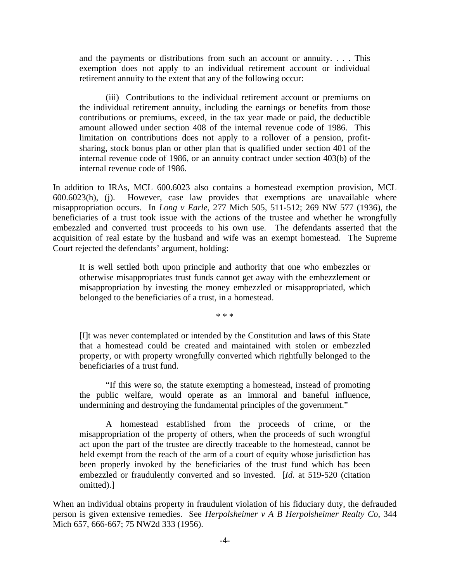and the payments or distributions from such an account or annuity. . . . This exemption does not apply to an individual retirement account or individual retirement annuity to the extent that any of the following occur:

 (iii) Contributions to the individual retirement account or premiums on the individual retirement annuity, including the earnings or benefits from those contributions or premiums, exceed, in the tax year made or paid, the deductible amount allowed under section 408 of the internal revenue code of 1986. This limitation on contributions does not apply to a rollover of a pension, profitsharing, stock bonus plan or other plan that is qualified under section 401 of the internal revenue code of 1986, or an annuity contract under section 403(b) of the internal revenue code of 1986.

In addition to IRAs, MCL 600.6023 also contains a homestead exemption provision, MCL 600.6023(h), (j). However, case law provides that exemptions are unavailable where misappropriation occurs. In *Long v Earle*, 277 Mich 505, 511-512; 269 NW 577 (1936), the beneficiaries of a trust took issue with the actions of the trustee and whether he wrongfully embezzled and converted trust proceeds to his own use. The defendants asserted that the acquisition of real estate by the husband and wife was an exempt homestead. The Supreme Court rejected the defendants' argument, holding:

It is well settled both upon principle and authority that one who embezzles or otherwise misappropriates trust funds cannot get away with the embezzlement or misappropriation by investing the money embezzled or misappropriated, which belonged to the beneficiaries of a trust, in a homestead.

\* \* \*

[I]t was never contemplated or intended by the Constitution and laws of this State that a homestead could be created and maintained with stolen or embezzled property, or with property wrongfully converted which rightfully belonged to the beneficiaries of a trust fund.

 "If this were so, the statute exempting a homestead, instead of promoting the public welfare, would operate as an immoral and baneful influence, undermining and destroying the fundamental principles of the government."

 A homestead established from the proceeds of crime, or the misappropriation of the property of others, when the proceeds of such wrongful act upon the part of the trustee are directly traceable to the homestead, cannot be held exempt from the reach of the arm of a court of equity whose jurisdiction has been properly invoked by the beneficiaries of the trust fund which has been embezzled or fraudulently converted and so invested. [*Id*. at 519-520 (citation omitted).]

When an individual obtains property in fraudulent violation of his fiduciary duty, the defrauded person is given extensive remedies. See *Herpolsheimer v A B Herpolsheimer Realty Co*, 344 Mich 657, 666-667; 75 NW2d 333 (1956).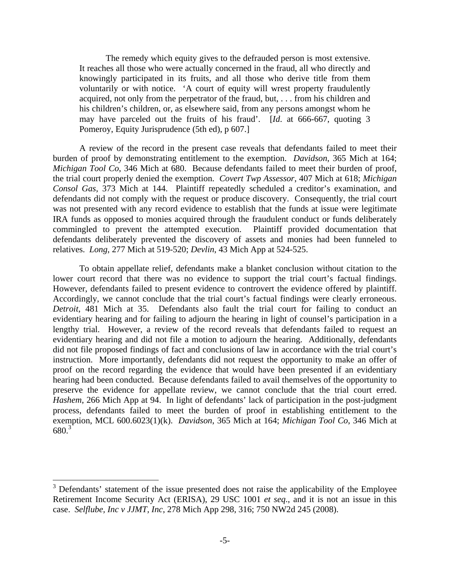The remedy which equity gives to the defrauded person is most extensive. It reaches all those who were actually concerned in the fraud, all who directly and knowingly participated in its fruits, and all those who derive title from them voluntarily or with notice. 'A court of equity will wrest property fraudulently acquired, not only from the perpetrator of the fraud, but, . . . from his children and his children's children, or, as elsewhere said, from any persons amongst whom he may have parceled out the fruits of his fraud'. [*Id*. at 666-667, quoting 3 Pomeroy, Equity Jurisprudence (5th ed), p 607.]

 A review of the record in the present case reveals that defendants failed to meet their burden of proof by demonstrating entitlement to the exemption. *Davidson*, 365 Mich at 164; *Michigan Tool Co*, 346 Mich at 680. Because defendants failed to meet their burden of proof, the trial court properly denied the exemption. *Covert Twp Assessor*, 407 Mich at 618; *Michigan Consol Gas*, 373 Mich at 144. Plaintiff repeatedly scheduled a creditor's examination, and defendants did not comply with the request or produce discovery. Consequently, the trial court was not presented with any record evidence to establish that the funds at issue were legitimate IRA funds as opposed to monies acquired through the fraudulent conduct or funds deliberately commingled to prevent the attempted execution. Plaintiff provided documentation that defendants deliberately prevented the discovery of assets and monies had been funneled to relatives. *Long*, 277 Mich at 519-520; *Devlin*, 43 Mich App at 524-525.

 To obtain appellate relief, defendants make a blanket conclusion without citation to the lower court record that there was no evidence to support the trial court's factual findings. However, defendants failed to present evidence to controvert the evidence offered by plaintiff. Accordingly, we cannot conclude that the trial court's factual findings were clearly erroneous. *Detroit*, 481 Mich at 35. Defendants also fault the trial court for failing to conduct an evidentiary hearing and for failing to adjourn the hearing in light of counsel's participation in a lengthy trial. However, a review of the record reveals that defendants failed to request an evidentiary hearing and did not file a motion to adjourn the hearing. Additionally, defendants did not file proposed findings of fact and conclusions of law in accordance with the trial court's instruction. More importantly, defendants did not request the opportunity to make an offer of proof on the record regarding the evidence that would have been presented if an evidentiary hearing had been conducted. Because defendants failed to avail themselves of the opportunity to preserve the evidence for appellate review, we cannot conclude that the trial court erred. *Hashem*, 266 Mich App at 94. In light of defendants' lack of participation in the post-judgment process, defendants failed to meet the burden of proof in establishing entitlement to the exemption, MCL 600.6023(1)(k). *Davidson*, 365 Mich at 164; *Michigan Tool Co*, 346 Mich at 680.3

 $\overline{a}$ 

<sup>&</sup>lt;sup>3</sup> Defendants' statement of the issue presented does not raise the applicability of the Employee Retirement Income Security Act (ERISA), 29 USC 1001 *et seq*., and it is not an issue in this case. *Selflube, Inc v JJMT, Inc*, 278 Mich App 298, 316; 750 NW2d 245 (2008).